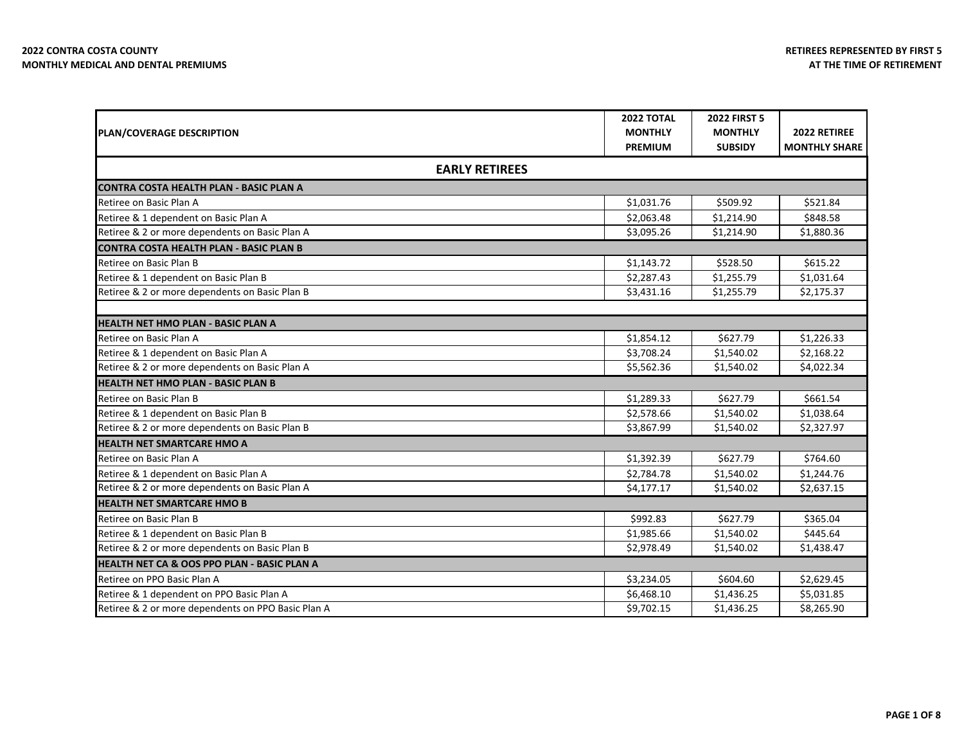|                                                        | <b>2022 TOTAL</b> | <b>2022 FIRST 5</b> |                      |
|--------------------------------------------------------|-------------------|---------------------|----------------------|
| <b>PLAN/COVERAGE DESCRIPTION</b>                       | <b>MONTHLY</b>    | <b>MONTHLY</b>      | 2022 RETIREE         |
|                                                        | <b>PREMIUM</b>    | <b>SUBSIDY</b>      | <b>MONTHLY SHARE</b> |
| <b>EARLY RETIREES</b>                                  |                   |                     |                      |
| <b>CONTRA COSTA HEALTH PLAN - BASIC PLAN A</b>         |                   |                     |                      |
| Retiree on Basic Plan A                                | \$1,031.76        | \$509.92            | \$521.84             |
| Retiree & 1 dependent on Basic Plan A                  | \$2,063.48        | \$1,214.90          | \$848.58             |
| Retiree & 2 or more dependents on Basic Plan A         | \$3,095.26        | \$1,214.90          | \$1,880.36           |
| <b>CONTRA COSTA HEALTH PLAN - BASIC PLAN B</b>         |                   |                     |                      |
| Retiree on Basic Plan B                                | \$1,143.72        | \$528.50            | \$615.22             |
| Retiree & 1 dependent on Basic Plan B                  | \$2,287.43        | \$1,255.79          | \$1,031.64           |
| Retiree & 2 or more dependents on Basic Plan B         | \$3,431.16        | \$1,255.79          | \$2,175.37           |
|                                                        |                   |                     |                      |
| <b>HEALTH NET HMO PLAN - BASIC PLAN A</b>              |                   |                     |                      |
| Retiree on Basic Plan A                                | \$1,854.12        | \$627.79            | \$1,226.33           |
| Retiree & 1 dependent on Basic Plan A                  | \$3,708.24        | \$1,540.02          | \$2,168.22           |
| Retiree & 2 or more dependents on Basic Plan A         | \$5,562.36        | \$1,540.02          | \$4,022.34           |
| <b>HEALTH NET HMO PLAN - BASIC PLAN B</b>              |                   |                     |                      |
| Retiree on Basic Plan B                                | \$1,289.33        | \$627.79            | \$661.54             |
| Retiree & 1 dependent on Basic Plan B                  | \$2,578.66        | \$1,540.02          | \$1,038.64           |
| Retiree & 2 or more dependents on Basic Plan B         | \$3,867.99        | \$1,540.02          | \$2,327.97           |
| <b>HEALTH NET SMARTCARE HMO A</b>                      |                   |                     |                      |
| Retiree on Basic Plan A                                | \$1,392.39        | \$627.79            | \$764.60             |
| Retiree & 1 dependent on Basic Plan A                  | \$2,784.78        | \$1,540.02          | \$1,244.76           |
| Retiree & 2 or more dependents on Basic Plan A         | \$4,177.17        | \$1,540.02          | \$2,637.15           |
| <b>HEALTH NET SMARTCARE HMO B</b>                      |                   |                     |                      |
| Retiree on Basic Plan B                                | \$992.83          | \$627.79            | \$365.04             |
| Retiree & 1 dependent on Basic Plan B                  | \$1,985.66        | \$1,540.02          | \$445.64             |
| Retiree & 2 or more dependents on Basic Plan B         | \$2,978.49        | \$1,540.02          | \$1,438.47           |
| <b>HEALTH NET CA &amp; OOS PPO PLAN - BASIC PLAN A</b> |                   |                     |                      |
| Retiree on PPO Basic Plan A                            | \$3,234.05        | \$604.60            | \$2,629.45           |
| Retiree & 1 dependent on PPO Basic Plan A              | \$6,468.10        | \$1,436.25          | \$5,031.85           |
| Retiree & 2 or more dependents on PPO Basic Plan A     | \$9,702.15        | \$1,436.25          | \$8,265.90           |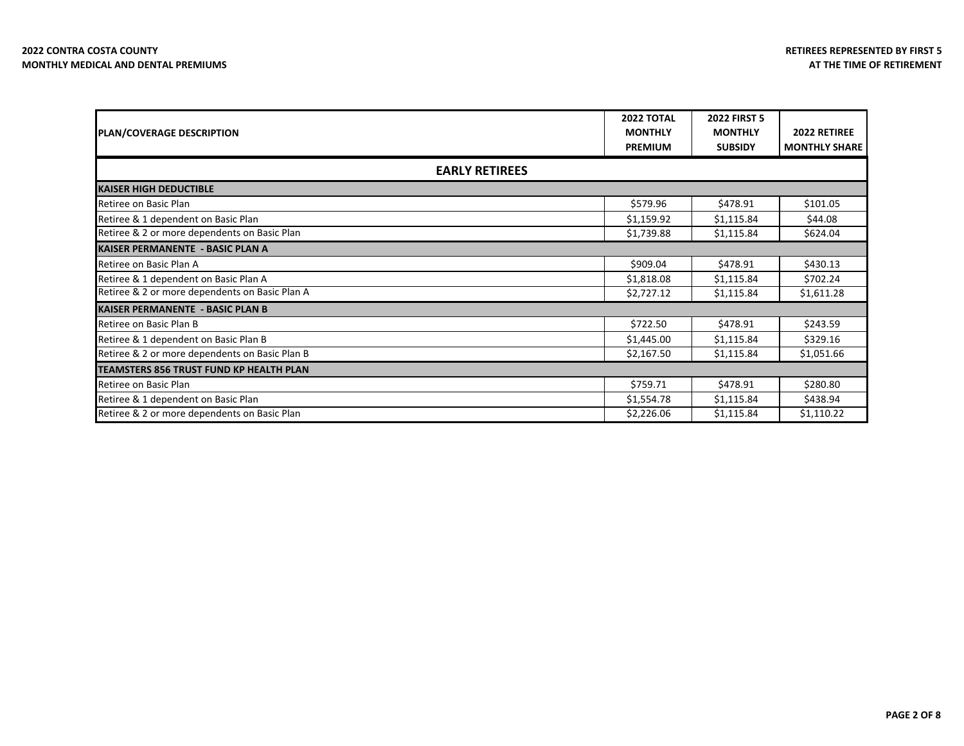| <b>PLAN/COVERAGE DESCRIPTION</b>               | <b>2022 TOTAL</b><br><b>MONTHLY</b><br><b>PREMIUM</b> | <b>2022 FIRST 5</b><br><b>MONTHLY</b><br><b>SUBSIDY</b> | 2022 RETIREE<br><b>MONTHLY SHARE</b> |
|------------------------------------------------|-------------------------------------------------------|---------------------------------------------------------|--------------------------------------|
|                                                | <b>EARLY RETIREES</b>                                 |                                                         |                                      |
| <b>KAISER HIGH DEDUCTIBLE</b>                  |                                                       |                                                         |                                      |
| Retiree on Basic Plan                          | \$579.96                                              | \$478.91                                                | \$101.05                             |
| Retiree & 1 dependent on Basic Plan            | \$1,159.92                                            | \$1,115.84                                              | \$44.08                              |
| Retiree & 2 or more dependents on Basic Plan   | \$1,739.88                                            | \$1,115.84                                              | \$624.04                             |
| <b>KAISER PERMANENTE - BASIC PLAN A</b>        |                                                       |                                                         |                                      |
| Retiree on Basic Plan A                        | \$909.04                                              | \$478.91                                                | \$430.13                             |
| Retiree & 1 dependent on Basic Plan A          | \$1,818.08                                            | \$1,115.84                                              | \$702.24                             |
| Retiree & 2 or more dependents on Basic Plan A | \$2,727.12                                            | \$1,115.84                                              | \$1,611.28                           |
| <b>KAISER PERMANENTE - BASIC PLAN B</b>        |                                                       |                                                         |                                      |
| Retiree on Basic Plan B                        | \$722.50                                              | \$478.91                                                | \$243.59                             |
| Retiree & 1 dependent on Basic Plan B          | \$1,445.00                                            | \$1,115.84                                              | \$329.16                             |
| Retiree & 2 or more dependents on Basic Plan B | \$2,167.50                                            | \$1,115.84                                              | \$1,051.66                           |
| TEAMSTERS 856 TRUST FUND KP HEALTH PLAN        |                                                       |                                                         |                                      |
| Retiree on Basic Plan                          | \$759.71                                              | \$478.91                                                | \$280.80                             |
| Retiree & 1 dependent on Basic Plan            | \$1,554.78                                            | \$1,115.84                                              | \$438.94                             |
| Retiree & 2 or more dependents on Basic Plan   | \$2,226.06                                            | \$1,115.84                                              | \$1,110.22                           |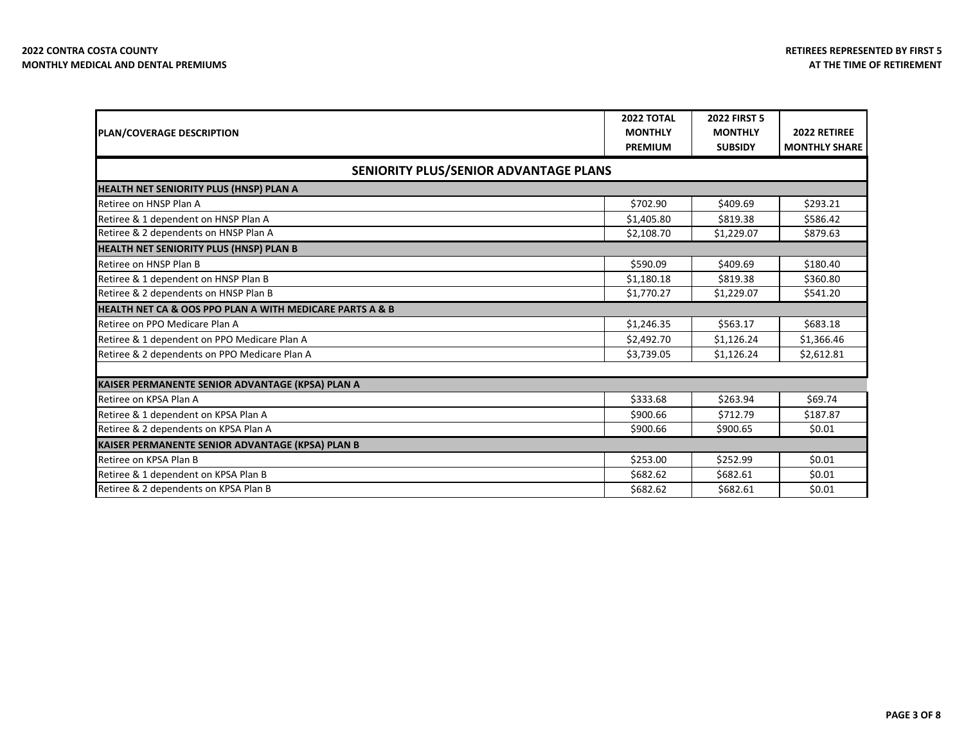| <b>PLAN/COVERAGE DESCRIPTION</b>                         | <b>2022 TOTAL</b><br><b>MONTHLY</b><br><b>PREMIUM</b> | <b>2022 FIRST 5</b><br><b>MONTHLY</b><br><b>SUBSIDY</b> | 2022 RETIREE<br><b>MONTHLY SHARE</b> |
|----------------------------------------------------------|-------------------------------------------------------|---------------------------------------------------------|--------------------------------------|
| SENIORITY PLUS/SENIOR ADVANTAGE PLANS                    |                                                       |                                                         |                                      |
| HEALTH NET SENIORITY PLUS (HNSP) PLAN A                  |                                                       |                                                         |                                      |
| Retiree on HNSP Plan A                                   | \$702.90                                              | \$409.69                                                | \$293.21                             |
| Retiree & 1 dependent on HNSP Plan A                     | \$1,405.80                                            | \$819.38                                                | \$586.42                             |
| Retiree & 2 dependents on HNSP Plan A                    | \$2,108.70                                            | \$1,229.07                                              | \$879.63                             |
| HEALTH NET SENIORITY PLUS (HNSP) PLAN B                  |                                                       |                                                         |                                      |
| Retiree on HNSP Plan B                                   | \$590.09                                              | \$409.69                                                | \$180.40                             |
| Retiree & 1 dependent on HNSP Plan B                     | \$1,180.18                                            | \$819.38                                                | \$360.80                             |
| Retiree & 2 dependents on HNSP Plan B                    | \$1,770.27                                            | \$1,229.07                                              | \$541.20                             |
| HEALTH NET CA & OOS PPO PLAN A WITH MEDICARE PARTS A & B |                                                       |                                                         |                                      |
| Retiree on PPO Medicare Plan A                           | \$1,246.35                                            | \$563.17                                                | \$683.18                             |
| Retiree & 1 dependent on PPO Medicare Plan A             | \$2,492.70                                            | \$1,126.24                                              | \$1,366.46                           |
| Retiree & 2 dependents on PPO Medicare Plan A            | \$3,739.05                                            | \$1,126.24                                              | \$2,612.81                           |
|                                                          |                                                       |                                                         |                                      |
| KAISER PERMANENTE SENIOR ADVANTAGE (KPSA) PLAN A         |                                                       |                                                         |                                      |
| Retiree on KPSA Plan A                                   | \$333.68                                              | \$263.94                                                | \$69.74                              |
| Retiree & 1 dependent on KPSA Plan A                     | \$900.66                                              | \$712.79                                                | \$187.87                             |
| Retiree & 2 dependents on KPSA Plan A                    | \$900.66                                              | \$900.65                                                | \$0.01                               |
| KAISER PERMANENTE SENIOR ADVANTAGE (KPSA) PLAN B         |                                                       |                                                         |                                      |
| Retiree on KPSA Plan B                                   | \$253.00                                              | \$252.99                                                | \$0.01                               |
| Retiree & 1 dependent on KPSA Plan B                     | \$682.62                                              | \$682.61                                                | \$0.01                               |
| Retiree & 2 dependents on KPSA Plan B                    | \$682.62                                              | \$682.61                                                | \$0.01                               |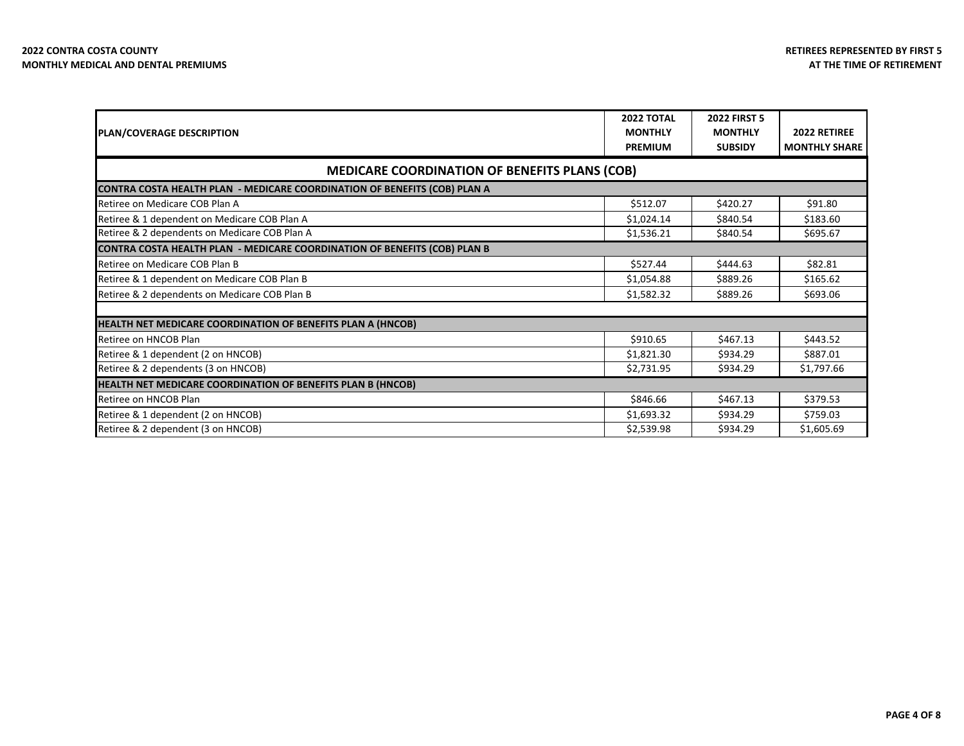| <b>PLAN/COVERAGE DESCRIPTION</b>                                                 | <b>2022 TOTAL</b><br><b>MONTHLY</b><br><b>PREMIUM</b> | <b>2022 FIRST 5</b><br><b>MONTHLY</b><br><b>SUBSIDY</b> | 2022 RETIREE<br><b>MONTHLY SHARE</b> |
|----------------------------------------------------------------------------------|-------------------------------------------------------|---------------------------------------------------------|--------------------------------------|
| <b>MEDICARE COORDINATION OF BENEFITS PLANS (COB)</b>                             |                                                       |                                                         |                                      |
| <b>CONTRA COSTA HEALTH PLAN - MEDICARE COORDINATION OF BENEFITS (COB) PLAN A</b> |                                                       |                                                         |                                      |
| Retiree on Medicare COB Plan A                                                   | \$512.07                                              | \$420.27                                                | \$91.80                              |
| Retiree & 1 dependent on Medicare COB Plan A                                     | \$1,024.14                                            | \$840.54                                                | \$183.60                             |
| Retiree & 2 dependents on Medicare COB Plan A                                    | \$1,536.21                                            | \$840.54                                                | \$695.67                             |
| CONTRA COSTA HEALTH PLAN - MEDICARE COORDINATION OF BENEFITS (COB) PLAN B        |                                                       |                                                         |                                      |
| Retiree on Medicare COB Plan B                                                   | \$527.44                                              | \$444.63                                                | \$82.81                              |
| Retiree & 1 dependent on Medicare COB Plan B                                     | \$1,054.88                                            | \$889.26                                                | \$165.62                             |
| Retiree & 2 dependents on Medicare COB Plan B                                    | \$1,582.32                                            | \$889.26                                                | \$693.06                             |
|                                                                                  |                                                       |                                                         |                                      |
| HEALTH NET MEDICARE COORDINATION OF BENEFITS PLAN A (HNCOB)                      |                                                       |                                                         |                                      |
| Retiree on HNCOB Plan                                                            | \$910.65                                              | \$467.13                                                | \$443.52                             |
| Retiree & 1 dependent (2 on HNCOB)                                               | \$1,821.30                                            | \$934.29                                                | \$887.01                             |
| Retiree & 2 dependents (3 on HNCOB)                                              | \$2,731.95                                            | \$934.29                                                | \$1,797.66                           |
| HEALTH NET MEDICARE COORDINATION OF BENEFITS PLAN B (HNCOB)                      |                                                       |                                                         |                                      |
| Retiree on HNCOB Plan                                                            | \$846.66                                              | \$467.13                                                | \$379.53                             |
| Retiree & 1 dependent (2 on HNCOB)                                               | \$1,693.32                                            | \$934.29                                                | \$759.03                             |
| Retiree & 2 dependent (3 on HNCOB)                                               | \$2,539.98                                            | \$934.29                                                | \$1,605.69                           |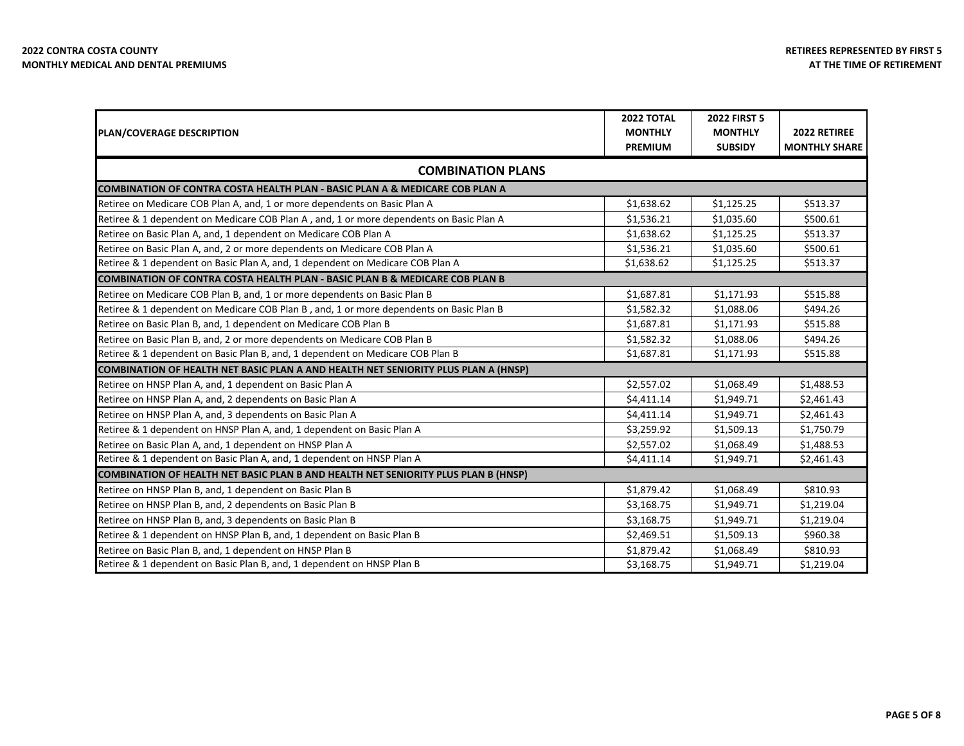|                                                                                           | <b>2022 TOTAL</b> | <b>2022 FIRST 5</b> |                      |  |
|-------------------------------------------------------------------------------------------|-------------------|---------------------|----------------------|--|
| <b>PLAN/COVERAGE DESCRIPTION</b>                                                          | <b>MONTHLY</b>    | <b>MONTHLY</b>      | 2022 RETIREE         |  |
|                                                                                           | <b>PREMIUM</b>    | <b>SUBSIDY</b>      | <b>MONTHLY SHARE</b> |  |
| <b>COMBINATION PLANS</b>                                                                  |                   |                     |                      |  |
| COMBINATION OF CONTRA COSTA HEALTH PLAN - BASIC PLAN A & MEDICARE COB PLAN A              |                   |                     |                      |  |
| Retiree on Medicare COB Plan A, and, 1 or more dependents on Basic Plan A                 | \$1,638.62        | \$1,125.25          | \$513.37             |  |
| Retiree & 1 dependent on Medicare COB Plan A, and, 1 or more dependents on Basic Plan A   | \$1,536.21        | \$1,035.60          | \$500.61             |  |
| Retiree on Basic Plan A, and, 1 dependent on Medicare COB Plan A                          | \$1,638.62        | \$1,125.25          | \$513.37             |  |
| Retiree on Basic Plan A, and, 2 or more dependents on Medicare COB Plan A                 | \$1,536.21        | \$1,035.60          | \$500.61             |  |
| Retiree & 1 dependent on Basic Plan A, and, 1 dependent on Medicare COB Plan A            | \$1,638.62        | \$1,125.25          | \$513.37             |  |
| <b>COMBINATION OF CONTRA COSTA HEALTH PLAN - BASIC PLAN B &amp; MEDICARE COB PLAN B</b>   |                   |                     |                      |  |
| Retiree on Medicare COB Plan B, and, 1 or more dependents on Basic Plan B                 | \$1,687.81        | \$1,171.93          | \$515.88             |  |
| Retiree & 1 dependent on Medicare COB Plan B, and, 1 or more dependents on Basic Plan B   | \$1,582.32        | \$1,088.06          | \$494.26             |  |
| Retiree on Basic Plan B, and, 1 dependent on Medicare COB Plan B                          | \$1,687.81        | \$1,171.93          | \$515.88             |  |
| Retiree on Basic Plan B, and, 2 or more dependents on Medicare COB Plan B                 | \$1,582.32        | \$1,088.06          | \$494.26             |  |
| Retiree & 1 dependent on Basic Plan B, and, 1 dependent on Medicare COB Plan B            | \$1,687.81        | \$1,171.93          | \$515.88             |  |
| <b>COMBINATION OF HEALTH NET BASIC PLAN A AND HEALTH NET SENIORITY PLUS PLAN A (HNSP)</b> |                   |                     |                      |  |
| Retiree on HNSP Plan A, and, 1 dependent on Basic Plan A                                  | \$2,557.02        | \$1,068.49          | \$1,488.53           |  |
| Retiree on HNSP Plan A, and, 2 dependents on Basic Plan A                                 | \$4,411.14        | \$1,949.71          | \$2,461.43           |  |
| Retiree on HNSP Plan A, and, 3 dependents on Basic Plan A                                 | \$4,411.14        | \$1,949.71          | \$2,461.43           |  |
| Retiree & 1 dependent on HNSP Plan A, and, 1 dependent on Basic Plan A                    | \$3,259.92        | \$1,509.13          | \$1,750.79           |  |
| Retiree on Basic Plan A, and, 1 dependent on HNSP Plan A                                  | \$2,557.02        | \$1,068.49          | \$1,488.53           |  |
| Retiree & 1 dependent on Basic Plan A, and, 1 dependent on HNSP Plan A                    | \$4,411.14        | \$1,949.71          | \$2,461.43           |  |
| COMBINATION OF HEALTH NET BASIC PLAN B AND HEALTH NET SENIORITY PLUS PLAN B (HNSP)        |                   |                     |                      |  |
| Retiree on HNSP Plan B, and, 1 dependent on Basic Plan B                                  | \$1,879.42        | \$1,068.49          | \$810.93             |  |
| Retiree on HNSP Plan B, and, 2 dependents on Basic Plan B                                 | \$3,168.75        | \$1,949.71          | \$1,219.04           |  |
| Retiree on HNSP Plan B, and, 3 dependents on Basic Plan B                                 | \$3,168.75        | \$1,949.71          | \$1,219.04           |  |
| Retiree & 1 dependent on HNSP Plan B, and, 1 dependent on Basic Plan B                    | \$2,469.51        | \$1,509.13          | \$960.38             |  |
| Retiree on Basic Plan B, and, 1 dependent on HNSP Plan B                                  | \$1,879.42        | \$1,068.49          | \$810.93             |  |
| Retiree & 1 dependent on Basic Plan B, and, 1 dependent on HNSP Plan B                    | \$3,168.75        | \$1,949.71          | \$1,219.04           |  |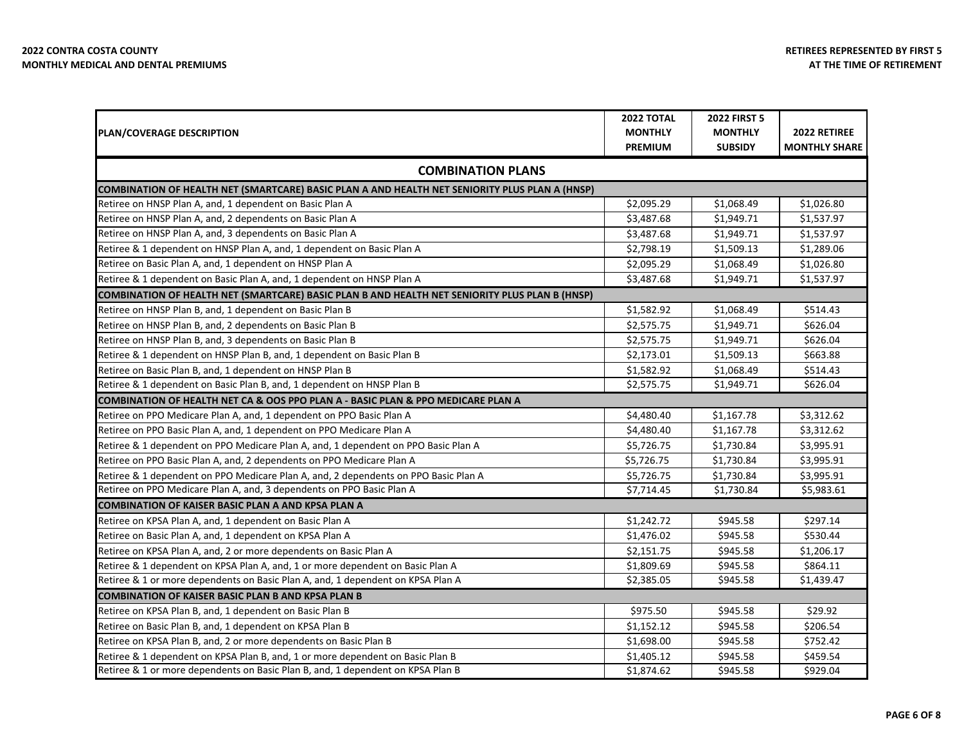|                                                                                                | <b>2022 TOTAL</b> | <b>2022 FIRST 5</b> |                      |
|------------------------------------------------------------------------------------------------|-------------------|---------------------|----------------------|
| <b>PLAN/COVERAGE DESCRIPTION</b>                                                               | <b>MONTHLY</b>    | <b>MONTHLY</b>      | 2022 RETIREE         |
|                                                                                                | <b>PREMIUM</b>    | <b>SUBSIDY</b>      | <b>MONTHLY SHARE</b> |
| <b>COMBINATION PLANS</b>                                                                       |                   |                     |                      |
| COMBINATION OF HEALTH NET (SMARTCARE) BASIC PLAN A AND HEALTH NET SENIORITY PLUS PLAN A (HNSP) |                   |                     |                      |
| Retiree on HNSP Plan A, and, 1 dependent on Basic Plan A                                       | \$2,095.29        | \$1,068.49          | \$1,026.80           |
| Retiree on HNSP Plan A, and, 2 dependents on Basic Plan A                                      | \$3,487.68        | \$1,949.71          | \$1,537.97           |
| Retiree on HNSP Plan A, and, 3 dependents on Basic Plan A                                      | \$3,487.68        | \$1,949.71          | \$1,537.97           |
| Retiree & 1 dependent on HNSP Plan A, and, 1 dependent on Basic Plan A                         | \$2,798.19        | \$1,509.13          | \$1,289.06           |
| Retiree on Basic Plan A, and, 1 dependent on HNSP Plan A                                       | \$2,095.29        | \$1,068.49          | \$1,026.80           |
| Retiree & 1 dependent on Basic Plan A, and, 1 dependent on HNSP Plan A                         | \$3,487.68        | \$1,949.71          | \$1,537.97           |
| COMBINATION OF HEALTH NET (SMARTCARE) BASIC PLAN B AND HEALTH NET SENIORITY PLUS PLAN B (HNSP) |                   |                     |                      |
| Retiree on HNSP Plan B, and, 1 dependent on Basic Plan B                                       | \$1,582.92        | \$1,068.49          | \$514.43             |
| Retiree on HNSP Plan B, and, 2 dependents on Basic Plan B                                      | \$2,575.75        | \$1,949.71          | \$626.04             |
| Retiree on HNSP Plan B, and, 3 dependents on Basic Plan B                                      | \$2,575.75        | \$1,949.71          | \$626.04             |
| Retiree & 1 dependent on HNSP Plan B, and, 1 dependent on Basic Plan B                         | \$2,173.01        | \$1,509.13          | \$663.88             |
| Retiree on Basic Plan B, and, 1 dependent on HNSP Plan B                                       | \$1,582.92        | \$1,068.49          | \$514.43             |
| Retiree & 1 dependent on Basic Plan B, and, 1 dependent on HNSP Plan B                         | \$2,575.75        | \$1,949.71          | \$626.04             |
| COMBINATION OF HEALTH NET CA & OOS PPO PLAN A - BASIC PLAN & PPO MEDICARE PLAN A               |                   |                     |                      |
| Retiree on PPO Medicare Plan A, and, 1 dependent on PPO Basic Plan A                           | \$4,480.40        | \$1,167.78          | \$3,312.62           |
| Retiree on PPO Basic Plan A, and, 1 dependent on PPO Medicare Plan A                           | \$4,480.40        | \$1,167.78          | \$3,312.62           |
| Retiree & 1 dependent on PPO Medicare Plan A, and, 1 dependent on PPO Basic Plan A             | \$5,726.75        | \$1,730.84          | \$3,995.91           |
| Retiree on PPO Basic Plan A, and, 2 dependents on PPO Medicare Plan A                          | \$5,726.75        | \$1,730.84          | \$3,995.91           |
| Retiree & 1 dependent on PPO Medicare Plan A, and, 2 dependents on PPO Basic Plan A            | \$5,726.75        | \$1,730.84          | \$3,995.91           |
| Retiree on PPO Medicare Plan A, and, 3 dependents on PPO Basic Plan A                          | \$7,714.45        | \$1,730.84          | \$5,983.61           |
| COMBINATION OF KAISER BASIC PLAN A AND KPSA PLAN A                                             |                   |                     |                      |
| Retiree on KPSA Plan A, and, 1 dependent on Basic Plan A                                       | \$1,242.72        | \$945.58            | \$297.14             |
| Retiree on Basic Plan A, and, 1 dependent on KPSA Plan A                                       | \$1,476.02        | \$945.58            | \$530.44             |
| Retiree on KPSA Plan A, and, 2 or more dependents on Basic Plan A                              | \$2,151.75        | \$945.58            | \$1,206.17           |
| Retiree & 1 dependent on KPSA Plan A, and, 1 or more dependent on Basic Plan A                 | \$1,809.69        | \$945.58            | \$864.11             |
| Retiree & 1 or more dependents on Basic Plan A, and, 1 dependent on KPSA Plan A                | \$2,385.05        | \$945.58            | \$1,439.47           |
| <b>COMBINATION OF KAISER BASIC PLAN B AND KPSA PLAN B</b>                                      |                   |                     |                      |
| Retiree on KPSA Plan B, and, 1 dependent on Basic Plan B                                       | \$975.50          | \$945.58            | \$29.92              |
| Retiree on Basic Plan B, and, 1 dependent on KPSA Plan B                                       | \$1,152.12        | \$945.58            | \$206.54             |
| Retiree on KPSA Plan B, and, 2 or more dependents on Basic Plan B                              | \$1,698.00        | \$945.58            | \$752.42             |
| Retiree & 1 dependent on KPSA Plan B, and, 1 or more dependent on Basic Plan B                 | \$1,405.12        | \$945.58            | \$459.54             |
| Retiree & 1 or more dependents on Basic Plan B, and, 1 dependent on KPSA Plan B                | \$1,874.62        | \$945.58            | \$929.04             |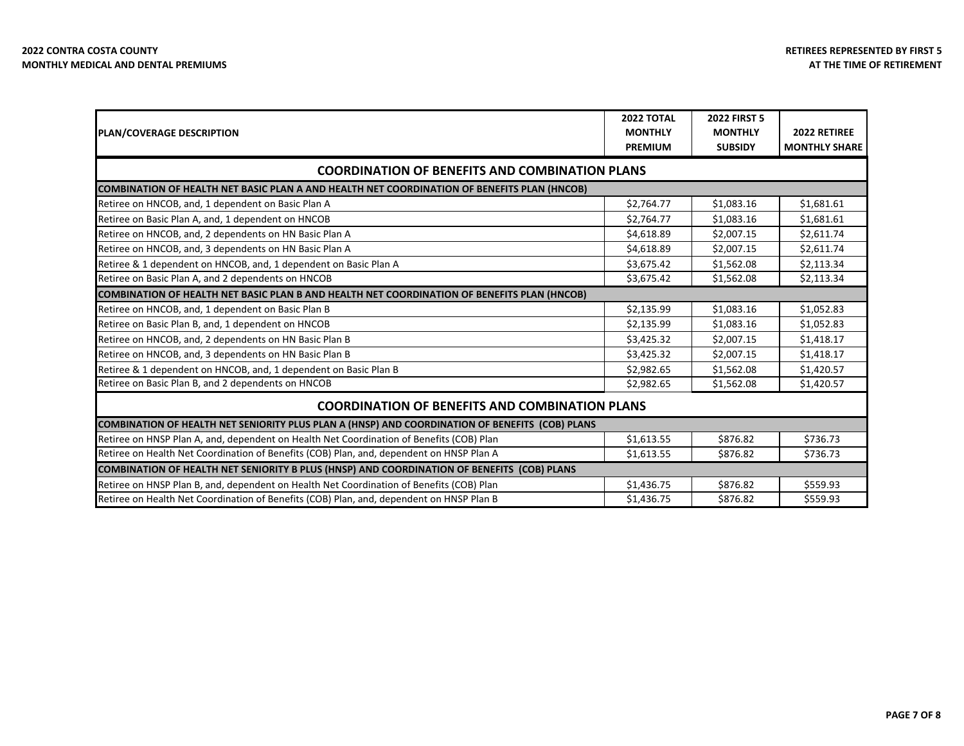| PLAN/COVERAGE DESCRIPTION                                                                       | <b>2022 TOTAL</b><br><b>MONTHLY</b><br><b>PREMIUM</b> | <b>2022 FIRST 5</b><br><b>MONTHLY</b><br><b>SUBSIDY</b> | 2022 RETIREE<br><b>MONTHLY SHARE</b> |
|-------------------------------------------------------------------------------------------------|-------------------------------------------------------|---------------------------------------------------------|--------------------------------------|
| <b>COORDINATION OF BENEFITS AND COMBINATION PLANS</b>                                           |                                                       |                                                         |                                      |
| COMBINATION OF HEALTH NET BASIC PLAN A AND HEALTH NET COORDINATION OF BENEFITS PLAN (HNCOB)     |                                                       |                                                         |                                      |
| Retiree on HNCOB, and, 1 dependent on Basic Plan A                                              | \$2,764.77                                            | \$1,083.16                                              | \$1,681.61                           |
| Retiree on Basic Plan A, and, 1 dependent on HNCOB                                              | \$2,764.77                                            | \$1,083.16                                              | \$1,681.61                           |
| Retiree on HNCOB, and, 2 dependents on HN Basic Plan A                                          | \$4,618.89                                            | \$2,007.15                                              | \$2,611.74                           |
| Retiree on HNCOB, and, 3 dependents on HN Basic Plan A                                          | \$4,618.89                                            | \$2,007.15                                              | \$2,611.74                           |
| Retiree & 1 dependent on HNCOB, and, 1 dependent on Basic Plan A                                | \$3,675.42                                            | \$1,562.08                                              | \$2,113.34                           |
| Retiree on Basic Plan A, and 2 dependents on HNCOB                                              | \$3,675.42                                            | \$1,562.08                                              | \$2,113.34                           |
| COMBINATION OF HEALTH NET BASIC PLAN B AND HEALTH NET COORDINATION OF BENEFITS PLAN (HNCOB)     |                                                       |                                                         |                                      |
| Retiree on HNCOB, and, 1 dependent on Basic Plan B                                              | \$2,135.99                                            | \$1,083.16                                              | \$1,052.83                           |
| Retiree on Basic Plan B, and, 1 dependent on HNCOB                                              | \$2,135.99                                            | \$1,083.16                                              | \$1,052.83                           |
| Retiree on HNCOB, and, 2 dependents on HN Basic Plan B                                          | \$3,425.32                                            | \$2,007.15                                              | \$1,418.17                           |
| Retiree on HNCOB, and, 3 dependents on HN Basic Plan B                                          | \$3,425.32                                            | \$2,007.15                                              | \$1,418.17                           |
| Retiree & 1 dependent on HNCOB, and, 1 dependent on Basic Plan B                                | \$2,982.65                                            | \$1,562.08                                              | \$1,420.57                           |
| Retiree on Basic Plan B, and 2 dependents on HNCOB                                              | \$2,982.65                                            | \$1,562.08                                              | \$1,420.57                           |
| <b>COORDINATION OF BENEFITS AND COMBINATION PLANS</b>                                           |                                                       |                                                         |                                      |
| COMBINATION OF HEALTH NET SENIORITY PLUS PLAN A (HNSP) AND COORDINATION OF BENEFITS (COB) PLANS |                                                       |                                                         |                                      |
| Retiree on HNSP Plan A, and, dependent on Health Net Coordination of Benefits (COB) Plan        | \$1,613.55                                            | \$876.82                                                | \$736.73                             |
| Retiree on Health Net Coordination of Benefits (COB) Plan, and, dependent on HNSP Plan A        | \$1,613.55                                            | \$876.82                                                | \$736.73                             |
| COMBINATION OF HEALTH NET SENIORITY B PLUS (HNSP) AND COORDINATION OF BENEFITS (COB) PLANS      |                                                       |                                                         |                                      |
| Retiree on HNSP Plan B, and, dependent on Health Net Coordination of Benefits (COB) Plan        | \$1,436.75                                            | \$876.82                                                | \$559.93                             |
| Retiree on Health Net Coordination of Benefits (COB) Plan, and, dependent on HNSP Plan B        | \$1,436.75                                            | \$876.82                                                | \$559.93                             |